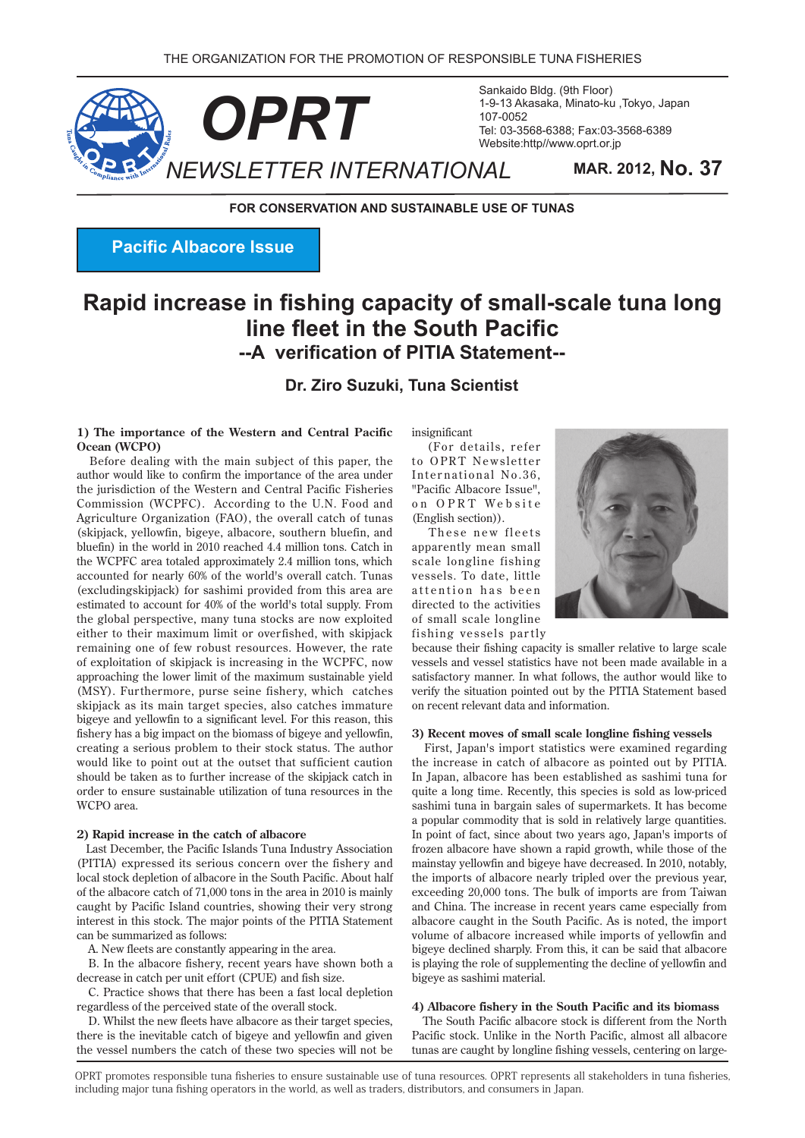

Sankaido Bldg. (9th Floor) 1-9-13 Akasaka, Minato-ku, Tokyo, Japan 107-0052 Tel: 03-3568-6388; Fax: 03-3568-6389 Website:http//www.oprt.or.jp

**FOR CONSERVATION AND SUSTAINABLE USE OF TUNAS** 

**Pacific Albacore Issue** 

# **Rapid increase in fishing capacity of small-scale tuna long Line fleet in the South Pacific --A verification of PITIA Statement--**

### **Dr. Ziro Suzuki, Tuna Scientist**

#### **1) The importance of the Western and Central Pacific (WCPO)**

Before dealing with the main subject of this paper, the author would like to confirm the importance of the area under the jurisdiction of the Western and Central Pacific Fisheries Commission (WCPFC). According to the U.N. Food and Agriculture Organization (FAO), the overall catch of tunas (skipjack, yellowfin, bigeye, albacore, southern bluefin, and bluefin) in the world in 2010 reached 4.4 million tons. Catch in the WCPFC area totaled approximately 2.4 million tons, which accounted for nearly 60% of the world's overall catch. Tunas (excludingskipjack) for sashimi provided from this area are estimated to account for 40% of the world's total supply. From the global perspective, many tuna stocks are now exploited either to their maximum limit or overfished, with skipjack remaining one of few robust resources. However, the rate of exploitation of skipjack is increasing in the WCPFC, now approaching the lower limit of the maximum sustainable yield  $(MSY)$ . Furthermore, purse seine fishery, which catches skipjack as its main target species, also catches immature bigeye and yellowfin to a significant level. For this reason, this fishery has a big impact on the biomass of bigeye and yellowfin, creating a serious problem to their stock status. The author would like to point out at the outset that sufficient caution should be taken as to further increase of the skipjack catch in order to ensure sustainable utilization of tuna resources in the  $WCPO$  area

#### 2) Rapid increase in the catch of albacore

Last December, the Pacific Islands Tuna Industry Association (PITIA) expressed its serious concern over the fishery and local stock depletion of albacore in the South Pacific. About half of the albacore catch of  $71,000$  tons in the area in  $2010$  is mainly caught by Pacific Island countries, showing their very strong interest in this stock. The major points of the PITIA Statement can be summarized as follows:

A. New fleets are constantly appearing in the area.

B. In the albacore fishery, recent years have shown both a decrease in catch per unit effort (CPUE) and fish size.

C. Practice shows that there has been a fast local depletion regardless of the perceived state of the overall stock.

D. Whilst the new fleets have albacore as their target species, there is the inevitable catch of bigeye and yellowfin and given the vessel numbers the catch of these two species will not be insignificant

(For details, refer to OPRT Newsletter International No.36. "Pacific Albacore Issue", on OPRT Website (English section)).

These new fleets apparently mean small scale longline fishing vessels. To date, little attention has been directed to the activities of small scale longline fishing vessels partly



because their fishing capacity is smaller relative to large scale vessels and vessel statistics have not been made available in a satisfactory manner. In what follows, the author would like to verify the situation pointed out by the PITIA Statement based on recent relevant data and information.

#### 3) Recent moves of small scale longline fishing vessels

First, Japan's import statistics were examined regarding the increase in catch of albacore as pointed out by PITIA. In Japan, albacore has been established as sashimi tuna for quite a long time. Recently, this species is sold as low-priced sashimi tuna in bargain sales of supermarkets. It has become a popular commodity that is sold in relatively large quantities. In point of fact, since about two years ago, Japan's imports of frozen albacore have shown a rapid growth, while those of the mainstay yellowfin and bigeye have decreased. In 2010, notably, the imports of albacore nearly tripled over the previous year, exceeding 20,000 tons. The bulk of imports are from Taiwan and China. The increase in recent years came especially from albacore caught in the South Pacific. As is noted, the import volume of albacore increased while imports of yellowfin and bigeye declined sharply. From this, it can be said that albacore is playing the role of supplementing the decline of yellowfin and bigeye as sashimi material.

#### **4**) Albacore fishery in the South Pacific and its biomass

The South Pacific albacore stock is different from the North Pacific stock. Unlike in the North Pacific, almost all albacore tunas are caught by longline fishing vessels, centering on large-

OPRT promotes responsible tuna fisheries to ensure sustainable use of tuna resources. OPRT represents all stakeholders in tuna fisheries. including major tuna fishing operators in the world, as well as traders, distributors, and consumers in Japan.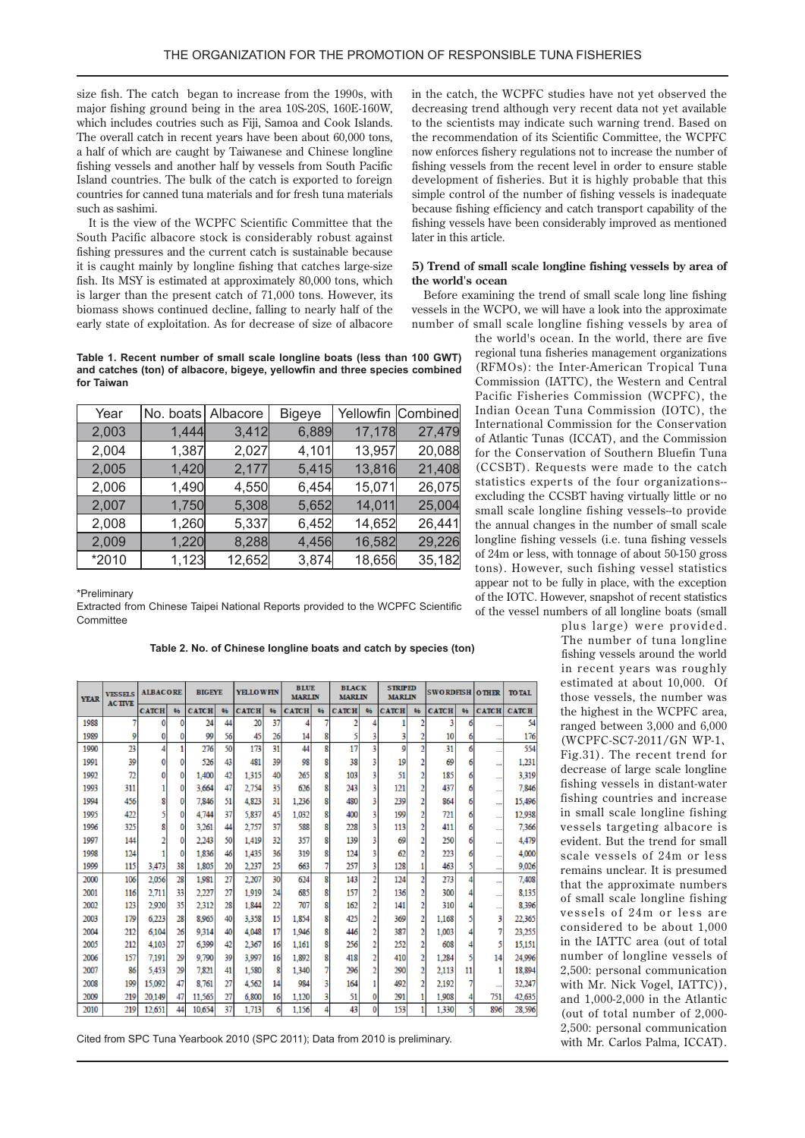size fish. The catch began to increase from the 1990s, with major fishing ground being in the area 10S-20S, 160E-160W, which includes coutries such as Fiji, Samoa and Cook Islands. The overall catch in recent vears have been about 60,000 tons. a half of which are caught by Taiwanese and Chinese longline fishing vessels and another half by vessels from South Pacific Island countries. The bulk of the catch is exported to foreign countries for canned tuna materials and for fresh tuna materials such as sashimi

It is the view of the WCPFC Scientific Committee that the South Pacific albacore stock is considerably robust against fishing pressures and the current catch is sustainable because it is caught mainly by longline fishing that catches large-size fish. Its MSY is estimated at approximately 80,000 tons, which is larger than the present catch of  $71,000$  tons. However, its biomass shows continued decline, falling to nearly half of the early state of exploitation. As for decrease of size of albacore

Table 1. Recent number of small scale longline boats (less than 100 GWT) and catches (ton) of albacore, bigeye, yellowfin and three species combined **Taiwan for**

| Year  | No. boats Albacore |        | <b>Bigeye</b> |        | Yellowfin Combined |
|-------|--------------------|--------|---------------|--------|--------------------|
| 2,003 | 1,444              | 3,412  | 6,889         | 17,178 | 27,479             |
| 2,004 | 1,387              | 2,027  | 4,101         | 13,957 | 20,088             |
| 2,005 | 1,420              | 2,177  | 5,415         | 13,816 | 21,408             |
| 2,006 | 1,490              | 4,550  | 6,454         | 15,071 | 26,075             |
| 2,007 | 1,750              | 5,308  | 5,652         | 14,011 | 25,004             |
| 2,008 | 1,260              | 5,337  | 6,452         | 14,652 | 26,441             |
| 2,009 | 1,220              | 8,288  | 4,456         | 16,582 | 29,226             |
| *2010 | 1,123              | 12,652 | 3,874         | 18,656 | 35,182             |

Preliminary\*

Extracted from Chinese Taipei National Reports provided to the WCPFC Scientific **Committee** 

Table 2. No. of Chinese longline boats and catch by species (ton)

| <b>YEAR</b><br><b>ACTIVE</b><br><b>CATCH</b><br><b>CATCH</b><br><b>CATCH</b><br><b>CATCH</b><br><b>CATCH</b><br>96<br><b>CATCH</b><br><b>CATCH</b><br><b>CATCH</b><br><b>CATCH</b><br>96<br>96<br>96<br>96<br>96<br>06<br>1988<br>24<br>20<br>37<br>3<br>44<br>0<br>٥<br>6<br>1989<br>99<br>56<br>45<br>9<br>26<br>14<br>8<br>3<br>2<br>10<br>0<br>0<br>6<br>17<br>23<br>276<br>173<br>8<br>9<br>31<br>50<br>31<br>44<br>3<br>1990<br>6<br>$\sim$<br>39<br>481<br>1991<br>526<br>43<br>39<br>98<br>38<br>19<br>69<br>8<br>6<br>51<br>1992<br>72<br>1.400<br>1.315<br>265<br>185<br>42<br>40<br>8<br>103<br>٥<br>437<br>1993<br>311<br>3.664<br>47<br>2.754<br>35<br>626<br>243<br>121<br>8<br>٥<br>1994<br>4.823<br>31<br>1.236<br>480<br>239<br>864<br>456<br>7,846<br>51<br>8<br>2<br>٥<br>37<br>5,837<br>45<br>1.032<br>1995<br>422<br>4.744<br>400<br>199<br>721<br>8<br>0<br>325<br>37<br>228<br>1996<br>2.757<br>588<br>113<br>3.261<br>44<br>8<br>411<br>357<br>1997<br>32<br>139<br>144<br>2.243<br>50<br>1.419<br>ዩ<br>69<br>250<br>٥<br>1998<br>124<br>1.836<br>46<br>1.435<br>36<br>319<br>124<br>223<br>8<br>62<br>0<br>6<br>3,473<br>38<br>1,805<br>25<br>257<br>128<br>463<br>1999<br>115<br>20<br>2.237<br>663<br>28<br>27<br>2.056<br>1.981<br>30<br>8<br>143<br>273<br>2000<br>106<br>2.207<br>624<br>124<br>2.711<br>33<br>2001<br>2.227<br>27<br>1.919<br>685<br>157<br>300<br>116<br>24<br>8<br>136<br>35<br>22<br>2002<br>2.920<br>2.312<br>28<br>707<br>162<br>141<br>123<br>1.844<br>8<br>$\overline{2}$<br>310<br>15<br>$\overline{2}$<br>2003<br>179<br>6.223<br>28<br>8.965<br>3.358<br>1.854<br>8<br>425<br>369<br>3<br>40<br>2<br>1.168<br>26<br>17<br>1.946<br>387<br>2004<br>212<br>6.104<br>9.314<br>40<br>4.048<br>8<br>1.003<br>446<br>$\mathbf{2}$<br>27<br>2005<br>4.103<br>42<br>256<br>252<br>212<br>6.399<br>2.367<br>16<br>1.161<br>608<br>ዩ<br>157<br>2006<br>7,191<br>29<br>9.790<br>39<br>3.997<br>1.892<br>418<br>410<br>1.284<br>16<br>2<br>14<br>2007<br>5.453<br>29<br>296<br>290<br>86<br>7.821<br>41<br>1.580<br>ዩ<br>1.340<br>2.113<br>11<br>27<br>2008<br>199<br>15.092<br>47<br>8.761<br>4.562<br>984<br>3<br>164<br>492<br>14<br>2,192<br>27<br>47<br>6.800<br>1.120<br>51<br>291<br>751<br>2009<br>219<br>20.149<br>11.565<br>16<br>3<br>1.908<br>0<br>37<br>219<br>12,651<br>1.713<br>43<br>153<br>5<br>896<br>2010<br>44<br>10.654<br>1,156<br>1,330<br>6<br>$\Omega$ | <b>VESSELS</b> |  | <b>ALBACORE</b> |  | <b>BIGEYE</b> |  | <b>YELLOWFIN</b> |  | <b>BLUE</b>   |  | <b>BLACK</b>  |  | <b>STRIPED</b> |  | <b>SWORDFISH</b> |  | <b>OTHER</b> | <b>TO TAL</b> |
|------------------------------------------------------------------------------------------------------------------------------------------------------------------------------------------------------------------------------------------------------------------------------------------------------------------------------------------------------------------------------------------------------------------------------------------------------------------------------------------------------------------------------------------------------------------------------------------------------------------------------------------------------------------------------------------------------------------------------------------------------------------------------------------------------------------------------------------------------------------------------------------------------------------------------------------------------------------------------------------------------------------------------------------------------------------------------------------------------------------------------------------------------------------------------------------------------------------------------------------------------------------------------------------------------------------------------------------------------------------------------------------------------------------------------------------------------------------------------------------------------------------------------------------------------------------------------------------------------------------------------------------------------------------------------------------------------------------------------------------------------------------------------------------------------------------------------------------------------------------------------------------------------------------------------------------------------------------------------------------------------------------------------------------------------------------------------------------------------------------------------------------------------------------------------------------------------------------------------------------------------------------------------------------------------------------------------------------------------------------------------------------------------------------------------|----------------|--|-----------------|--|---------------|--|------------------|--|---------------|--|---------------|--|----------------|--|------------------|--|--------------|---------------|
| 5<br>17 <sub>0</sub><br>55<br>1.23<br>3.31<br>7.84<br>15.49<br>12.93<br>7.36<br>4.47<br>4.00<br>9,02<br>7.40 <sub>1</sub><br>8.13<br>8.39<br>22.36<br>23.25<br>15.15<br>24,99<br>18.89<br>32.24<br>42.63<br>28,59                                                                                                                                                                                                                                                                                                                                                                                                                                                                                                                                                                                                                                                                                                                                                                                                                                                                                                                                                                                                                                                                                                                                                                                                                                                                                                                                                                                                                                                                                                                                                                                                                                                                                                                                                                                                                                                                                                                                                                                                                                                                                                                                                                                                            |                |  |                 |  |               |  |                  |  | <b>MARLIN</b> |  | <b>MARLIN</b> |  | <b>MARLIN</b>  |  |                  |  |              |               |
|                                                                                                                                                                                                                                                                                                                                                                                                                                                                                                                                                                                                                                                                                                                                                                                                                                                                                                                                                                                                                                                                                                                                                                                                                                                                                                                                                                                                                                                                                                                                                                                                                                                                                                                                                                                                                                                                                                                                                                                                                                                                                                                                                                                                                                                                                                                                                                                                                              |                |  |                 |  |               |  |                  |  |               |  |               |  |                |  |                  |  |              |               |
|                                                                                                                                                                                                                                                                                                                                                                                                                                                                                                                                                                                                                                                                                                                                                                                                                                                                                                                                                                                                                                                                                                                                                                                                                                                                                                                                                                                                                                                                                                                                                                                                                                                                                                                                                                                                                                                                                                                                                                                                                                                                                                                                                                                                                                                                                                                                                                                                                              |                |  |                 |  |               |  |                  |  |               |  |               |  |                |  |                  |  |              |               |
|                                                                                                                                                                                                                                                                                                                                                                                                                                                                                                                                                                                                                                                                                                                                                                                                                                                                                                                                                                                                                                                                                                                                                                                                                                                                                                                                                                                                                                                                                                                                                                                                                                                                                                                                                                                                                                                                                                                                                                                                                                                                                                                                                                                                                                                                                                                                                                                                                              |                |  |                 |  |               |  |                  |  |               |  |               |  |                |  |                  |  |              |               |
|                                                                                                                                                                                                                                                                                                                                                                                                                                                                                                                                                                                                                                                                                                                                                                                                                                                                                                                                                                                                                                                                                                                                                                                                                                                                                                                                                                                                                                                                                                                                                                                                                                                                                                                                                                                                                                                                                                                                                                                                                                                                                                                                                                                                                                                                                                                                                                                                                              |                |  |                 |  |               |  |                  |  |               |  |               |  |                |  |                  |  |              |               |
|                                                                                                                                                                                                                                                                                                                                                                                                                                                                                                                                                                                                                                                                                                                                                                                                                                                                                                                                                                                                                                                                                                                                                                                                                                                                                                                                                                                                                                                                                                                                                                                                                                                                                                                                                                                                                                                                                                                                                                                                                                                                                                                                                                                                                                                                                                                                                                                                                              |                |  |                 |  |               |  |                  |  |               |  |               |  |                |  |                  |  |              |               |
|                                                                                                                                                                                                                                                                                                                                                                                                                                                                                                                                                                                                                                                                                                                                                                                                                                                                                                                                                                                                                                                                                                                                                                                                                                                                                                                                                                                                                                                                                                                                                                                                                                                                                                                                                                                                                                                                                                                                                                                                                                                                                                                                                                                                                                                                                                                                                                                                                              |                |  |                 |  |               |  |                  |  |               |  |               |  |                |  |                  |  |              |               |
|                                                                                                                                                                                                                                                                                                                                                                                                                                                                                                                                                                                                                                                                                                                                                                                                                                                                                                                                                                                                                                                                                                                                                                                                                                                                                                                                                                                                                                                                                                                                                                                                                                                                                                                                                                                                                                                                                                                                                                                                                                                                                                                                                                                                                                                                                                                                                                                                                              |                |  |                 |  |               |  |                  |  |               |  |               |  |                |  |                  |  |              |               |
|                                                                                                                                                                                                                                                                                                                                                                                                                                                                                                                                                                                                                                                                                                                                                                                                                                                                                                                                                                                                                                                                                                                                                                                                                                                                                                                                                                                                                                                                                                                                                                                                                                                                                                                                                                                                                                                                                                                                                                                                                                                                                                                                                                                                                                                                                                                                                                                                                              |                |  |                 |  |               |  |                  |  |               |  |               |  |                |  |                  |  |              |               |
|                                                                                                                                                                                                                                                                                                                                                                                                                                                                                                                                                                                                                                                                                                                                                                                                                                                                                                                                                                                                                                                                                                                                                                                                                                                                                                                                                                                                                                                                                                                                                                                                                                                                                                                                                                                                                                                                                                                                                                                                                                                                                                                                                                                                                                                                                                                                                                                                                              |                |  |                 |  |               |  |                  |  |               |  |               |  |                |  |                  |  |              |               |
|                                                                                                                                                                                                                                                                                                                                                                                                                                                                                                                                                                                                                                                                                                                                                                                                                                                                                                                                                                                                                                                                                                                                                                                                                                                                                                                                                                                                                                                                                                                                                                                                                                                                                                                                                                                                                                                                                                                                                                                                                                                                                                                                                                                                                                                                                                                                                                                                                              |                |  |                 |  |               |  |                  |  |               |  |               |  |                |  |                  |  |              |               |
|                                                                                                                                                                                                                                                                                                                                                                                                                                                                                                                                                                                                                                                                                                                                                                                                                                                                                                                                                                                                                                                                                                                                                                                                                                                                                                                                                                                                                                                                                                                                                                                                                                                                                                                                                                                                                                                                                                                                                                                                                                                                                                                                                                                                                                                                                                                                                                                                                              |                |  |                 |  |               |  |                  |  |               |  |               |  |                |  |                  |  |              |               |
|                                                                                                                                                                                                                                                                                                                                                                                                                                                                                                                                                                                                                                                                                                                                                                                                                                                                                                                                                                                                                                                                                                                                                                                                                                                                                                                                                                                                                                                                                                                                                                                                                                                                                                                                                                                                                                                                                                                                                                                                                                                                                                                                                                                                                                                                                                                                                                                                                              |                |  |                 |  |               |  |                  |  |               |  |               |  |                |  |                  |  |              |               |
|                                                                                                                                                                                                                                                                                                                                                                                                                                                                                                                                                                                                                                                                                                                                                                                                                                                                                                                                                                                                                                                                                                                                                                                                                                                                                                                                                                                                                                                                                                                                                                                                                                                                                                                                                                                                                                                                                                                                                                                                                                                                                                                                                                                                                                                                                                                                                                                                                              |                |  |                 |  |               |  |                  |  |               |  |               |  |                |  |                  |  |              |               |
|                                                                                                                                                                                                                                                                                                                                                                                                                                                                                                                                                                                                                                                                                                                                                                                                                                                                                                                                                                                                                                                                                                                                                                                                                                                                                                                                                                                                                                                                                                                                                                                                                                                                                                                                                                                                                                                                                                                                                                                                                                                                                                                                                                                                                                                                                                                                                                                                                              |                |  |                 |  |               |  |                  |  |               |  |               |  |                |  |                  |  |              |               |
|                                                                                                                                                                                                                                                                                                                                                                                                                                                                                                                                                                                                                                                                                                                                                                                                                                                                                                                                                                                                                                                                                                                                                                                                                                                                                                                                                                                                                                                                                                                                                                                                                                                                                                                                                                                                                                                                                                                                                                                                                                                                                                                                                                                                                                                                                                                                                                                                                              |                |  |                 |  |               |  |                  |  |               |  |               |  |                |  |                  |  |              |               |
|                                                                                                                                                                                                                                                                                                                                                                                                                                                                                                                                                                                                                                                                                                                                                                                                                                                                                                                                                                                                                                                                                                                                                                                                                                                                                                                                                                                                                                                                                                                                                                                                                                                                                                                                                                                                                                                                                                                                                                                                                                                                                                                                                                                                                                                                                                                                                                                                                              |                |  |                 |  |               |  |                  |  |               |  |               |  |                |  |                  |  |              |               |
|                                                                                                                                                                                                                                                                                                                                                                                                                                                                                                                                                                                                                                                                                                                                                                                                                                                                                                                                                                                                                                                                                                                                                                                                                                                                                                                                                                                                                                                                                                                                                                                                                                                                                                                                                                                                                                                                                                                                                                                                                                                                                                                                                                                                                                                                                                                                                                                                                              |                |  |                 |  |               |  |                  |  |               |  |               |  |                |  |                  |  |              |               |
|                                                                                                                                                                                                                                                                                                                                                                                                                                                                                                                                                                                                                                                                                                                                                                                                                                                                                                                                                                                                                                                                                                                                                                                                                                                                                                                                                                                                                                                                                                                                                                                                                                                                                                                                                                                                                                                                                                                                                                                                                                                                                                                                                                                                                                                                                                                                                                                                                              |                |  |                 |  |               |  |                  |  |               |  |               |  |                |  |                  |  |              |               |
|                                                                                                                                                                                                                                                                                                                                                                                                                                                                                                                                                                                                                                                                                                                                                                                                                                                                                                                                                                                                                                                                                                                                                                                                                                                                                                                                                                                                                                                                                                                                                                                                                                                                                                                                                                                                                                                                                                                                                                                                                                                                                                                                                                                                                                                                                                                                                                                                                              |                |  |                 |  |               |  |                  |  |               |  |               |  |                |  |                  |  |              |               |
|                                                                                                                                                                                                                                                                                                                                                                                                                                                                                                                                                                                                                                                                                                                                                                                                                                                                                                                                                                                                                                                                                                                                                                                                                                                                                                                                                                                                                                                                                                                                                                                                                                                                                                                                                                                                                                                                                                                                                                                                                                                                                                                                                                                                                                                                                                                                                                                                                              |                |  |                 |  |               |  |                  |  |               |  |               |  |                |  |                  |  |              |               |
|                                                                                                                                                                                                                                                                                                                                                                                                                                                                                                                                                                                                                                                                                                                                                                                                                                                                                                                                                                                                                                                                                                                                                                                                                                                                                                                                                                                                                                                                                                                                                                                                                                                                                                                                                                                                                                                                                                                                                                                                                                                                                                                                                                                                                                                                                                                                                                                                                              |                |  |                 |  |               |  |                  |  |               |  |               |  |                |  |                  |  |              |               |
|                                                                                                                                                                                                                                                                                                                                                                                                                                                                                                                                                                                                                                                                                                                                                                                                                                                                                                                                                                                                                                                                                                                                                                                                                                                                                                                                                                                                                                                                                                                                                                                                                                                                                                                                                                                                                                                                                                                                                                                                                                                                                                                                                                                                                                                                                                                                                                                                                              |                |  |                 |  |               |  |                  |  |               |  |               |  |                |  |                  |  |              |               |
|                                                                                                                                                                                                                                                                                                                                                                                                                                                                                                                                                                                                                                                                                                                                                                                                                                                                                                                                                                                                                                                                                                                                                                                                                                                                                                                                                                                                                                                                                                                                                                                                                                                                                                                                                                                                                                                                                                                                                                                                                                                                                                                                                                                                                                                                                                                                                                                                                              |                |  |                 |  |               |  |                  |  |               |  |               |  |                |  |                  |  |              |               |
|                                                                                                                                                                                                                                                                                                                                                                                                                                                                                                                                                                                                                                                                                                                                                                                                                                                                                                                                                                                                                                                                                                                                                                                                                                                                                                                                                                                                                                                                                                                                                                                                                                                                                                                                                                                                                                                                                                                                                                                                                                                                                                                                                                                                                                                                                                                                                                                                                              |                |  |                 |  |               |  |                  |  |               |  |               |  |                |  |                  |  |              |               |

Cited from SPC Tuna Yearbook 2010 (SPC 2011); Data from 2010 is preliminary.

in the catch, the WCPFC studies have not yet observed the decreasing trend although very recent data not yet available to the scientists may indicate such warning trend. Based on the recommendation of its Scientific Committee, the WCPFC now enforces fishery regulations not to increase the number of fishing vessels from the recent level in order to ensure stable development of fisheries. But it is highly probable that this simple control of the number of fishing vessels is inadequate because fishing efficiency and catch transport capability of the fishing vessels have been considerably improved as mentioned later in this article.

#### **5) Trend of small scale longline fishing vessels by area of** the world's ocean

Before examining the trend of small scale long line fishing vessels in the WCPO, we will have a look into the approximate number of small scale longline fishing vessels by area of

the world's ocean. In the world, there are five regional tuna fisheries management organizations  $(RFMOs)$ : the Inter-American Tropical Tuna Commission (IATTC), the Western and Central Pacific Fisheries Commission (WCPFC), the Indian Ocean Tuna Commission (IOTC), the International Commission for the Conservation of Atlantic Tunas (ICCAT), and the Commission for the Conservation of Southern Bluefin Tuna (CCSBT). Requests were made to the catch statistics experts of the four organizations-excluding the CCSBT having virtually little or no small scale longline fishing vessels-to provide the annual changes in the number of small scale longline fishing vessels (i.e. tuna fishing vessels of  $24m$  or less, with tonnage of about  $50-150$  gross tons). However, such fishing vessel statistics appear not to be fully in place, with the exception of the IOTC. However, snapshot of recent statistics of the vessel numbers of all longline boats (small

plus large) were provided. The number of tuna longline fishing vessels around the world in recent years was roughly estimated at about 10,000. Of those vessels, the number was the highest in the WCPFC area, ranged between 3,000 and 6,000 (WCPFC-SC7-2011/GN WP-1, Fig. 31). The recent trend for decrease of large scale longline fishing vessels in distant-water fishing countries and increase in small scale longline fishing vessels targeting albacore is evident. But the trend for small scale vessels of 24m or less remains unclear. It is presumed that the approximate numbers of small scale longline fishing vessels of 24m or less are considered to be about  $1,000$ in the IATTC area (out of total number of longline vessels of 2,500: personal communication with Mr. Nick Vogel, IATTC)), and  $1,000-2,000$  in the Atlantic (out of total number of  $2.000$ -2,500: personal communication with Mr. Carlos Palma, ICCAT).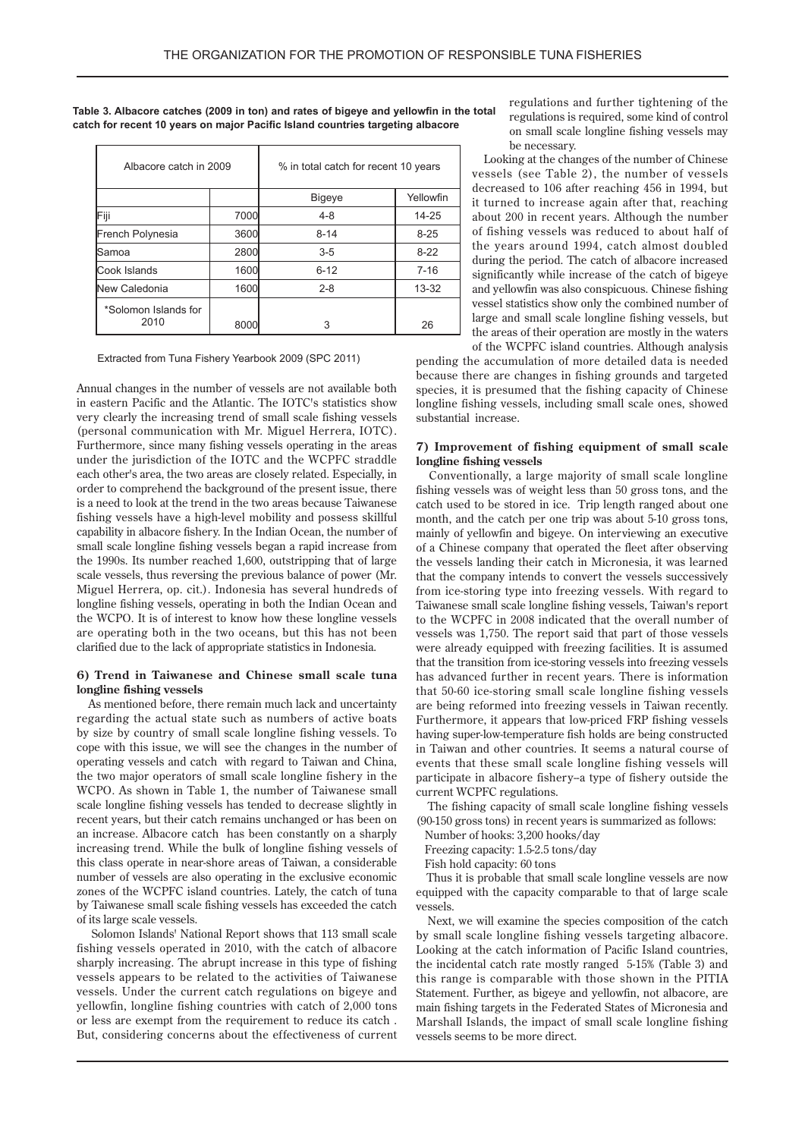| Table 3. Albacore catches (2009 in ton) and rates of bigeye and yellowfin in the total |
|----------------------------------------------------------------------------------------|
| catch for recent 10 years on major Pacific Island countries targeting albacore         |

| Albacore catch in 2009       |      | % in total catch for recent 10 years |           |  |  |  |
|------------------------------|------|--------------------------------------|-----------|--|--|--|
|                              |      | Bigeye                               | Yellowfin |  |  |  |
| Fiji                         | 7000 | $4 - 8$                              | 14-25     |  |  |  |
| French Polynesia             | 3600 | $8 - 14$                             | $8 - 25$  |  |  |  |
| Samoa                        | 2800 | $3 - 5$                              | $8-22$    |  |  |  |
| Cook Islands                 | 1600 | $6 - 12$                             | $7 - 16$  |  |  |  |
| New Caledonia                | 1600 | $2 - 8$                              | $13 - 32$ |  |  |  |
| *Solomon Islands for<br>2010 | 8000 | 3                                    | 26        |  |  |  |

#### Extracted from Tuna Fishery Yearbook 2009 (SPC 2011)

Annual changes in the number of vessels are not available both in eastern Pacific and the Atlantic. The IOTC's statistics show very clearly the increasing trend of small scale fishing vessels (personal communication with Mr. Miguel Herrera, IOTC). Furthermore, since many fishing vessels operating in the areas under the jurisdiction of the IOTC and the WCPFC straddle each other's area, the two areas are closely related. Especially, in order to comprehend the background of the present issue, there is a need to look at the trend in the two areas because Taiwanese fishing vessels have a high-level mobility and possess skillful capability in albacore fishery. In the Indian Ocean, the number of small scale longline fishing vessels began a rapid increase from the 1990s. Its number reached 1,600, outstripping that of large scale vessels, thus reversing the previous balance of power (Mr. Miguel Herrera, op. cit.). Indonesia has several hundreds of longline fishing vessels, operating in both the Indian Ocean and the WCPO. It is of interest to know how these longline vessels are operating both in the two oceans, but this has not been clarified due to the lack of appropriate statistics in Indonesia.

#### 6) Trend in Taiwanese and Chinese small scale tuna longline fishing vessels

As mentioned before, there remain much lack and uncertainty regarding the actual state such as numbers of active boats by size by country of small scale longline fishing vessels. To cope with this issue, we will see the changes in the number of operating vessels and catch with regard to Taiwan and China, the two major operators of small scale longline fishery in the WCPO. As shown in Table 1, the number of Taiwanese small scale longline fishing vessels has tended to decrease slightly in recent years, but their catch remains unchanged or has been on an increase. Albacore catch has been constantly on a sharply increasing trend. While the bulk of longline fishing vessels of this class operate in near-shore areas of Taiwan, a considerable number of vessels are also operating in the exclusive economic zones of the WCPFC island countries. Lately, the catch of tuna by Taiwanese small scale fishing vessels has exceeded the catch of its large scale vessels.

Solomon Islands' National Report shows that 113 small scale fishing vessels operated in 2010, with the catch of albacore sharply increasing. The abrupt increase in this type of fishing vessels appears to be related to the activities of Taiwanese vessels. Under the current catch regulations on bigeye and yellowfin, longline fishing countries with catch of 2,000 tons or less are exempt from the requirement to reduce its catch. But, considering concerns about the effectiveness of current regulations and further tightening of the regulations is required, some kind of control on small scale longline fishing vessels may be necessary.

Looking at the changes of the number of Chinese vessels (see Table 2), the number of vessels decreased to 106 after reaching 456 in 1994, but it turned to increase again after that, reaching about 200 in recent years. Although the number of fishing vessels was reduced to about half of the years around 1994, catch almost doubled during the period. The catch of albacore increased significantly while increase of the catch of bigeye and yellowfin was also conspicuous. Chinese fishing vessel statistics show only the combined number of large and small scale longline fishing vessels, but the areas of their operation are mostly in the waters of the WCPFC island countries. Although analysis

pending the accumulation of more detailed data is needed because there are changes in fishing grounds and targeted species, it is presumed that the fishing capacity of Chinese longline fishing vessels, including small scale ones, showed substantial increase.

#### **7)** Improvement of fishing equipment of small scale longline fishing vessels

Conventionally, a large majority of small scale longline fishing vessels was of weight less than 50 gross tons, and the catch used to be stored in ice. Trip length ranged about one month, and the catch per one trip was about 5-10 gross tons, mainly of yellowfin and bigeye. On interviewing an executive of a Chinese company that operated the fleet after observing the vessels landing their catch in Micronesia, it was learned that the company intends to convert the vessels successively from ice-storing type into freezing vessels. With regard to Taiwanese small scale longline fishing vessels, Taiwan's report to the WCPFC in 2008 indicated that the overall number of vessels was 1,750. The report said that part of those vessels were already equipped with freezing facilities. It is assumed that the transition from ice-storing vessels into freezing vessels has advanced further in recent years. There is information that 50-60 ice-storing small scale longline fishing vessels are being reformed into freezing vessels in Taiwan recently. Furthermore, it appears that low-priced-FRP fishing vessels having super-low-temperature fish holds are being constructed in Taiwan and other countries. It seems a natural course of events that these small scale longline fishing vessels will participate in albacore fishery-a type of fishery outside the current WCPFC regulations.

The fishing capacity of small scale longline fishing vessels  $(90-150$  gross tons) in recent years is summarized as follows:

Number of hooks: 3,200 hooks/day

Freezing capacity: 1.5-2.5 tons/day

Fish hold capacity: 60 tons

Thus it is probable that small scale longline vessels are now equipped with the capacity comparable to that of large scale .vessels

Next, we will examine the species composition of the catch by small scale longline fishing vessels targeting albacore. Looking at the catch information of Pacific Island countries, the incidental catch rate mostly ranged 5-15% (Table 3) and this range is comparable with those shown in the PITIA Statement. Further, as bigeye and yellowfin, not albacore, are main fishing targets in the Federated States of Micronesia and Marshall Islands, the impact of small scale longline fishing vessels seems to be more direct.